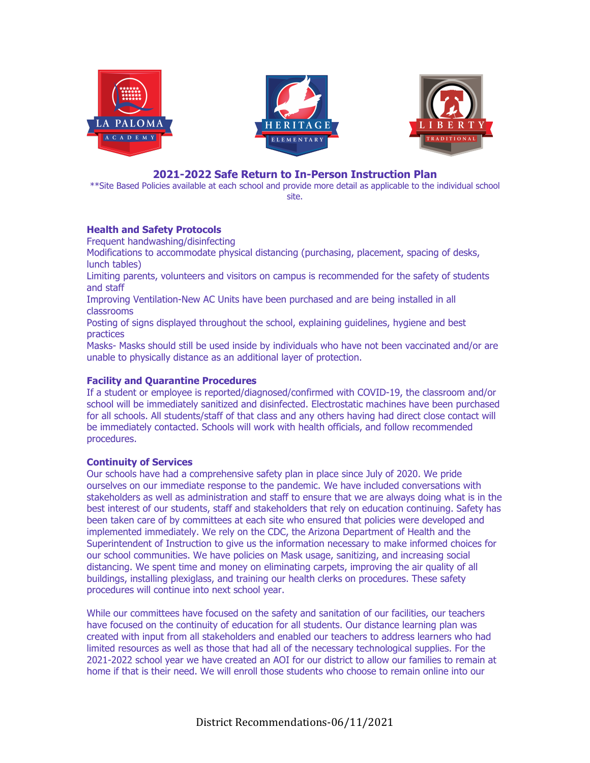





# **2021-2022 Safe Return to In-Person Instruction Plan**

\*\*Site Based Policies available at each school and provide more detail as applicable to the individual school site.

## **Health and Safety Protocols**

Frequent handwashing/disinfecting

Modifications to accommodate physical distancing (purchasing, placement, spacing of desks, lunch tables)

Limiting parents, volunteers and visitors on campus is recommended for the safety of students and staff

Improving Ventilation-New AC Units have been purchased and are being installed in all classrooms

Posting of signs displayed throughout the school, explaining guidelines, hygiene and best practices

Masks- Masks should still be used inside by individuals who have not been vaccinated and/or are unable to physically distance as an additional layer of protection.

## **Facility and Quarantine Procedures**

If a student or employee is reported/diagnosed/confirmed with COVID-19, the classroom and/or school will be immediately sanitized and disinfected. Electrostatic machines have been purchased for all schools. All students/staff of that class and any others having had direct close contact will be immediately contacted. Schools will work with health officials, and follow recommended procedures.

## **Continuity of Services**

Our schools have had a comprehensive safety plan in place since July of 2020. We pride ourselves on our immediate response to the pandemic. We have included conversations with stakeholders as well as administration and staff to ensure that we are always doing what is in the best interest of our students, staff and stakeholders that rely on education continuing. Safety has been taken care of by committees at each site who ensured that policies were developed and implemented immediately. We rely on the CDC, the Arizona Department of Health and the Superintendent of Instruction to give us the information necessary to make informed choices for our school communities. We have policies on Mask usage, sanitizing, and increasing social distancing. We spent time and money on eliminating carpets, improving the air quality of all buildings, installing plexiglass, and training our health clerks on procedures. These safety procedures will continue into next school year.

While our committees have focused on the safety and sanitation of our facilities, our teachers have focused on the continuity of education for all students. Our distance learning plan was created with input from all stakeholders and enabled our teachers to address learners who had limited resources as well as those that had all of the necessary technological supplies. For the 2021-2022 school year we have created an AOI for our district to allow our families to remain at home if that is their need. We will enroll those students who choose to remain online into our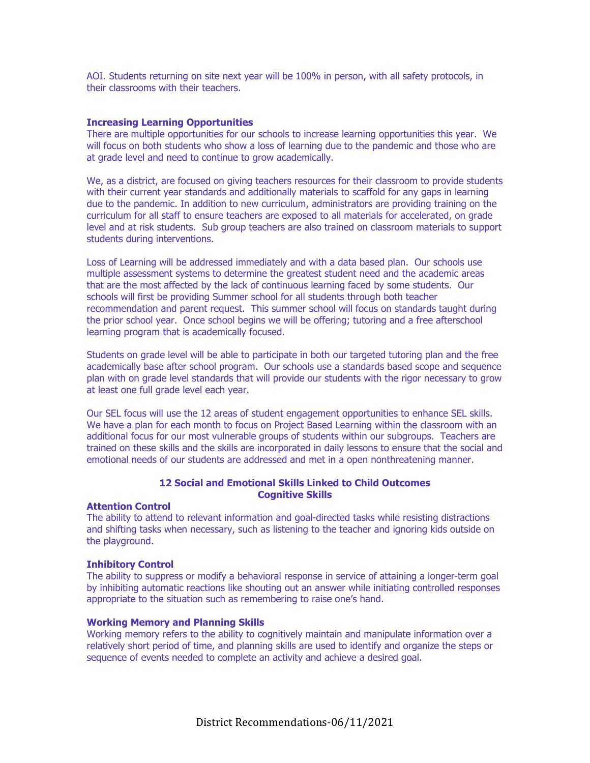AOI. Students returning on site next year will be 100% in person, with all safety protocols, in their classrooms with their teachers.

#### **Increasing Learning Opportunities**

There are multiple opportunities for our schools to increase learning opportunities this year. We will focus on both students who show a loss of learning due to the pandemic and those who are at grade level and need to continue to grow academically.

We, as a district, are focused on giving teachers resources for their classroom to provide students with their current year standards and additionally materials to scaffold for any gaps in learning due to the pandemic. In addition to new curriculum, administrators are providing training on the curriculum for all staff to ensure teachers are exposed to all materials for accelerated, on grade level and at risk students. Sub group teachers are also trained on classroom materials to support students during interventions.

Loss of Learning will be addressed immediately and with a data based plan. Our schools use multiple assessment systems to determine the greatest student need and the academic areas that are the most affected by the lack of continuous learning faced by some students. Our schools will first be providing Summer school for all students through both teacher recommendation and parent request. This summer school will focus on standards taught during the prior school year. Once school begins we will be offering; tutoring and a free afterschool learning program that is academically focused.

Students on grade level will be able to participate in both our targeted tutoring plan and the free academically base after school program. Our schools use a standards based scope and sequence plan with on grade level standards that will provide our students with the rigor necessary to grow at least one full grade level each year.

Our SEL focus will use the 12 areas of student engagement opportunities to enhance SEL skills. We have a plan for each month to focus on Project Based Learning within the classroom with an additional focus for our most vulnerable groups of students within our subgroups. Teachers are trained on these skills and the skills are incorporated in daily lessons to ensure that the social and emotional needs of our students are addressed and met in a open nonthreatening manner.

## **12 Social and Emotional Skills Linked to Child Outcomes Cognitive Skills**

#### **Attention Control**

The ability to attend to relevant information and goal-directed tasks while resisting distractions and shifting tasks when necessary, such as listening to the teacher and ignoring kids outside on the playground.

#### **Inhibitory Control**

The ability to suppress or modify a behavioral response in service of attaining a longer-term goal by inhibiting automatic reactions like shouting out an answer while initiating controlled responses appropriate to the situation such as remembering to raise one's hand.

#### **Working Memory and Planning Skills**

Working memory refers to the ability to cognitively maintain and manipulate information over a relatively short period of time, and planning skills are used to identify and organize the steps or sequence of events needed to complete an activity and achieve a desired goal.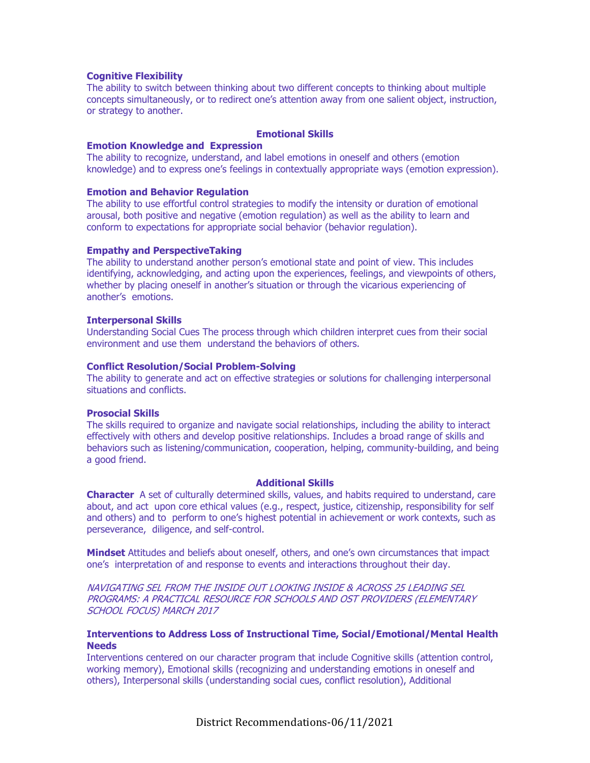### **Cognitive Flexibility**

The ability to switch between thinking about two different concepts to thinking about multiple concepts simultaneously, or to redirect one's attention away from one salient object, instruction, or strategy to another.

#### **Emotional Skills**

### **Emotion Knowledge and Expression**

The ability to recognize, understand, and label emotions in oneself and others (emotion knowledge) and to express one's feelings in contextually appropriate ways (emotion expression).

#### **Emotion and Behavior Regulation**

The ability to use effortful control strategies to modify the intensity or duration of emotional arousal, both positive and negative (emotion regulation) as well as the ability to learn and conform to expectations for appropriate social behavior (behavior regulation).

#### **Empathy and PerspectiveTaking**

The ability to understand another person's emotional state and point of view. This includes identifying, acknowledging, and acting upon the experiences, feelings, and viewpoints of others, whether by placing oneself in another's situation or through the vicarious experiencing of another's emotions.

#### **Interpersonal Skills**

Understanding Social Cues The process through which children interpret cues from their social environment and use them understand the behaviors of others.

#### **Conflict Resolution/Social Problem-Solving**

The ability to generate and act on effective strategies or solutions for challenging interpersonal situations and conflicts.

### **Prosocial Skills**

The skills required to organize and navigate social relationships, including the ability to interact effectively with others and develop positive relationships. Includes a broad range of skills and behaviors such as listening/communication, cooperation, helping, community-building, and being a good friend.

#### **Additional Skills**

**Character** A set of culturally determined skills, values, and habits required to understand, care about, and act upon core ethical values (e.g., respect, justice, citizenship, responsibility for self and others) and to perform to one's highest potential in achievement or work contexts, such as perseverance, diligence, and self-control.

**Mindset** Attitudes and beliefs about oneself, others, and one's own circumstances that impact one's interpretation of and response to events and interactions throughout their day.

NAVIGATING SEL FROM THE INSIDE OUT LOOKING INSIDE & ACROSS 25 LEADING SEL PROGRAMS: A PRACTICAL RESOURCE FOR SCHOOLS AND OST PROVIDERS (ELEMENTARY SCHOOL FOCUS) MARCH 2017

### **Interventions to Address Loss of Instructional Time, Social/Emotional/Mental Health Needs**

Interventions centered on our character program that include Cognitive skills (attention control, working memory), Emotional skills (recognizing and understanding emotions in oneself and others), Interpersonal skills (understanding social cues, conflict resolution), Additional